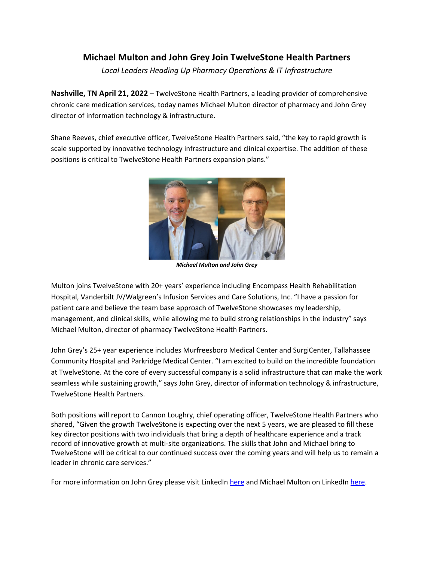## **Michael Multon and John Grey Join TwelveStone Health Partners**

*Local Leaders Heading Up Pharmacy Operations & IT Infrastructure*

**Nashville, TN April 21, 2022** – TwelveStone Health Partners, a leading provider of comprehensive chronic care medication services, today names Michael Multon director of pharmacy and John Grey director of information technology & infrastructure.

Shane Reeves, chief executive officer, TwelveStone Health Partners said, "the key to rapid growth is scale supported by innovative technology infrastructure and clinical expertise. The addition of these positions is critical to TwelveStone Health Partners expansion plans."



*Michael Multon and John Grey*

Multon joins TwelveStone with 20+ years' experience including Encompass Health Rehabilitation Hospital, Vanderbilt JV/Walgreen's Infusion Services and Care Solutions, Inc. "I have a passion for patient care and believe the team base approach of TwelveStone showcases my leadership, management, and clinical skills, while allowing me to build strong relationships in the industry" says Michael Multon, director of pharmacy TwelveStone Health Partners.

John Grey's 25+ year experience includes Murfreesboro Medical Center and SurgiCenter, Tallahassee Community Hospital and Parkridge Medical Center. "I am excited to build on the incredible foundation at TwelveStone. At the core of every successful company is a solid infrastructure that can make the work seamless while sustaining growth," says John Grey, director of information technology & infrastructure, TwelveStone Health Partners.

Both positions will report to Cannon Loughry, chief operating officer, TwelveStone Health Partners who shared, "Given the growth TwelveStone is expecting over the next 5 years, we are pleased to fill these key director positions with two individuals that bring a depth of healthcare experience and a track record of innovative growth at multi-site organizations. The skills that John and Michael bring to TwelveStone will be critical to our continued success over the coming years and will help us to remain a leader in chronic care services."

For more information on John Grey please visit LinkedIn here and Michael Multon on LinkedIn here.